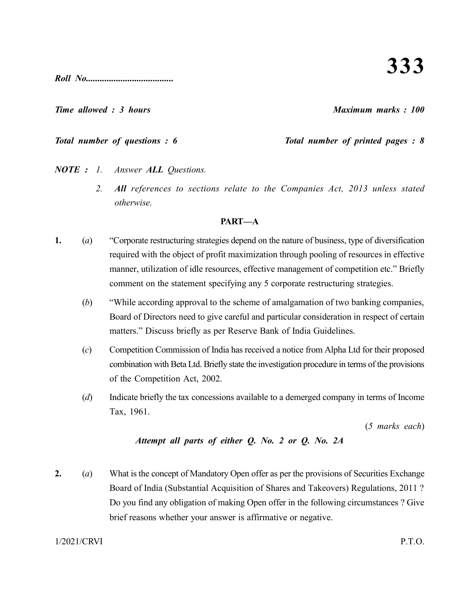**333**

*Roll No......................................*

#### *Time allowed : 3 hours Maximum marks : 100*

# *Total number of questions : 6 Total number of printed pages : 8*

- *NOTE : 1. Answer ALL Questions.*
	- *2. All references to sections relate to the Companies Act, 2013 unless stated otherwise.*

### **PART—A**

- **1.** (*a*) "Corporate restructuring strategies depend on the nature of business, type of diversification required with the object of profit maximization through pooling of resources in effective manner, utilization of idle resources, effective management of competition etc." Briefly comment on the statement specifying any 5 corporate restructuring strategies.
	- (*b*) "While according approval to the scheme of amalgamation of two banking companies, Board of Directors need to give careful and particular consideration in respect of certain matters." Discuss briefly as per Reserve Bank of India Guidelines.
	- (*c*) Competition Commission of India has received a notice from Alpha Ltd for their proposed combination with Beta Ltd. Briefly state the investigation procedure in terms of the provisions of the Competition Act, 2002.
	- (*d*) Indicate briefly the tax concessions available to a demerged company in terms of Income Tax, 1961.

(*5 marks each*)

# *Attempt all parts of either Q. No. 2 or Q. No. 2A*

**2.** (*a*) What is the concept of Mandatory Open offer as per the provisions of Securities Exchange Board of India (Substantial Acquisition of Shares and Takeovers) Regulations, 2011 ? Do you find any obligation of making Open offer in the following circumstances ? Give brief reasons whether your answer is affirmative or negative.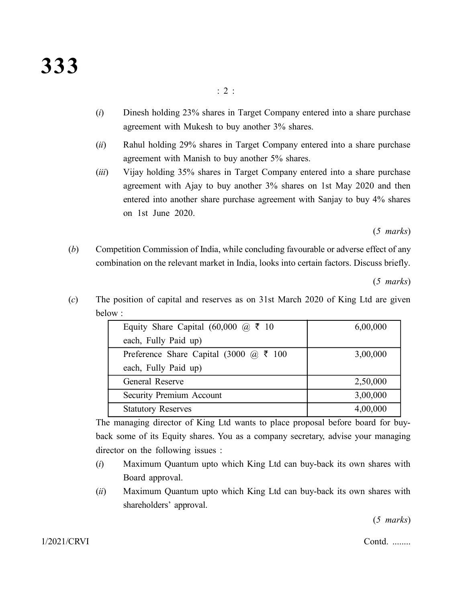- (*i*) Dinesh holding 23% shares in Target Company entered into a share purchase agreement with Mukesh to buy another 3% shares.
- (*ii*) Rahul holding 29% shares in Target Company entered into a share purchase agreement with Manish to buy another 5% shares.
- (*iii*) Vijay holding 35% shares in Target Company entered into a share purchase agreement with Ajay to buy another 3% shares on 1st May 2020 and then entered into another share purchase agreement with Sanjay to buy 4% shares on 1st June 2020.

(*5 marks*)

(*b*) Competition Commission of India, while concluding favourable or adverse effect of any combination on the relevant market in India, looks into certain factors. Discuss briefly.

(*5 marks*)

(*c*) The position of capital and reserves as on 31st March 2020 of King Ltd are given below :

| Equity Share Capital (60,000 @ ₹ 10    | 6,00,000 |
|----------------------------------------|----------|
| each, Fully Paid up)                   |          |
| Preference Share Capital (3000 @ ₹ 100 | 3,00,000 |
| each, Fully Paid up)                   |          |
| General Reserve                        | 2,50,000 |
| Security Premium Account               | 3,00,000 |
| <b>Statutory Reserves</b>              | 4,00,000 |

The managing director of King Ltd wants to place proposal before board for buyback some of its Equity shares. You as a company secretary, advise your managing director on the following issues :

- (*i*) Maximum Quantum upto which King Ltd can buy-back its own shares with Board approval.
- (*ii*) Maximum Quantum upto which King Ltd can buy-back its own shares with shareholders' approval.

(*5 marks*)

1/2021/CRVI Contd. ........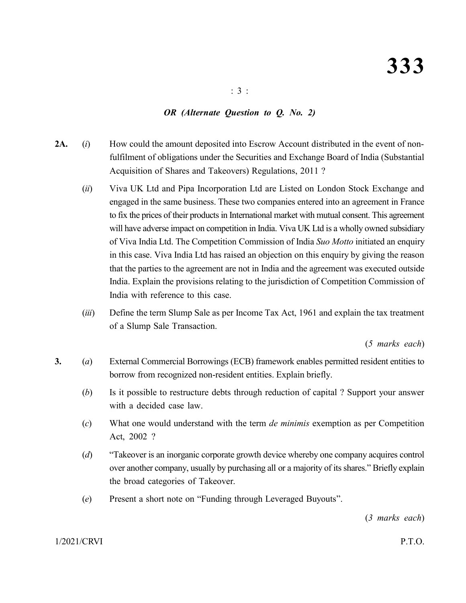## *OR (Alternate Question to Q. No. 2)*

- **2A.** (*i*) How could the amount deposited into Escrow Account distributed in the event of nonfulfilment of obligations under the Securities and Exchange Board of India (Substantial Acquisition of Shares and Takeovers) Regulations, 2011 ?
	- (*ii*) Viva UK Ltd and Pipa Incorporation Ltd are Listed on London Stock Exchange and engaged in the same business. These two companies entered into an agreement in France to fix the prices of their products in International market with mutual consent. This agreement will have adverse impact on competition in India. Viva UK Ltd is a wholly owned subsidiary of Viva India Ltd. The Competition Commission of India *Suo Motto* initiated an enquiry in this case. Viva India Ltd has raised an objection on this enquiry by giving the reason that the parties to the agreement are not in India and the agreement was executed outside India. Explain the provisions relating to the jurisdiction of Competition Commission of India with reference to this case.
	- (*iii*) Define the term Slump Sale as per Income Tax Act, 1961 and explain the tax treatment of a Slump Sale Transaction.

(*5 marks each*)

- **3.** (*a*) External Commercial Borrowings (ECB) framework enables permitted resident entities to borrow from recognized non-resident entities. Explain briefly.
	- (*b*) Is it possible to restructure debts through reduction of capital ? Support your answer with a decided case law.
	- (*c*) What one would understand with the term *de minimis* exemption as per Competition Act, 2002 ?
	- (*d*) "Takeover is an inorganic corporate growth device whereby one company acquires control over another company, usually by purchasing all or a majority of its shares." Briefly explain the broad categories of Takeover.
	- (*e*) Present a short note on "Funding through Leveraged Buyouts".

(*3 marks each*)

1/2021/CRVI P.T.O.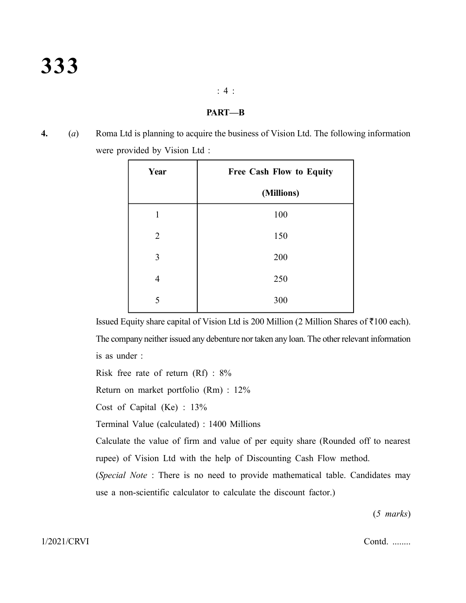#### : 4 :

#### **PART—B**

**4.** (*a*) Roma Ltd is planning to acquire the business of Vision Ltd. The following information were provided by Vision Ltd :

| Year           | <b>Free Cash Flow to Equity</b> |  |
|----------------|---------------------------------|--|
|                | (Millions)                      |  |
| 1              | 100                             |  |
| $\overline{2}$ | 150                             |  |
| 3              | 200                             |  |
| 4              | 250                             |  |
| 5              | 300                             |  |

Issued Equity share capital of Vision Ltd is 200 Million (2 Million Shares of  $\overline{5}100$  each). The company neither issued any debenture nor taken any loan. The other relevant information is as under :

Risk free rate of return (Rf) : 8%

Return on market portfolio (Rm) : 12%

Cost of Capital (Ke) : 13%

Terminal Value (calculated) : 1400 Millions

Calculate the value of firm and value of per equity share (Rounded off to nearest rupee) of Vision Ltd with the help of Discounting Cash Flow method.

(*Special Note* : There is no need to provide mathematical table. Candidates may use a non-scientific calculator to calculate the discount factor.)

(*5 marks*)

1/2021/CRVI Contd. ........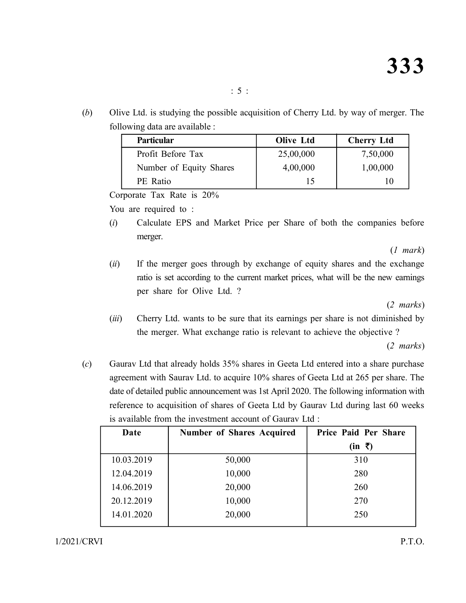(*b*) Olive Ltd. is studying the possible acquisition of Cherry Ltd. by way of merger. The following data are available :

| <b>Particular</b>       | <b>Olive Ltd</b> | <b>Cherry Ltd</b> |
|-------------------------|------------------|-------------------|
| Profit Before Tax       | 25,00,000        | 7,50,000          |
| Number of Equity Shares | 4,00,000         | 1,00,000          |
| PE Ratio                |                  | I ( )             |

Corporate Tax Rate is 20%

You are required to :

(*i*) Calculate EPS and Market Price per Share of both the companies before merger.

(*1 mark*)

(*ii*) If the merger goes through by exchange of equity shares and the exchange ratio is set according to the current market prices, what will be the new earnings per share for Olive Ltd. ?

(*2 marks*)

(*iii*) Cherry Ltd. wants to be sure that its earnings per share is not diminished by the merger. What exchange ratio is relevant to achieve the objective ?

(*2 marks*)

(*c*) Gaurav Ltd that already holds 35% shares in Geeta Ltd entered into a share purchase agreement with Saurav Ltd. to acquire 10% shares of Geeta Ltd at 265 per share. The date of detailed public announcement was 1st April 2020. The following information with reference to acquisition of shares of Geeta Ltd by Gaurav Ltd during last 60 weeks is available from the investment account of Gaurav Ltd :

| Date       | <b>Number of Shares Acquired</b> | Price Paid Per Share    |
|------------|----------------------------------|-------------------------|
|            |                                  | $(in \; \bar{\bar{z}})$ |
| 10.03.2019 | 50,000                           | 310                     |
| 12.04.2019 | 10,000                           | 280                     |
| 14.06.2019 | 20,000                           | 260                     |
| 20.12.2019 | 10,000                           | 270                     |
| 14.01.2020 | 20,000                           | 250                     |
|            |                                  |                         |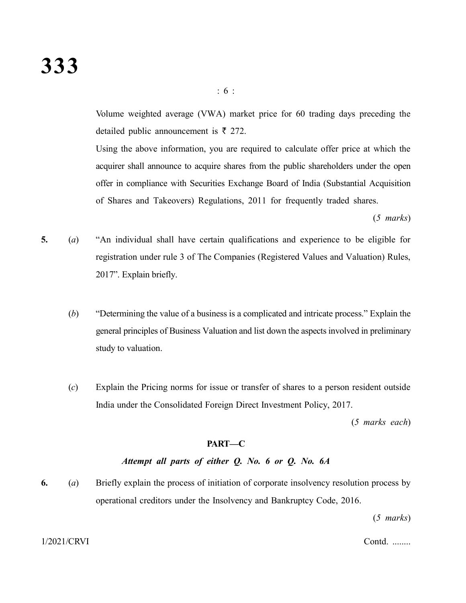Volume weighted average (VWA) market price for 60 trading days preceding the detailed public announcement is  $\bar{\tau}$  272.

: 6 :

Using the above information, you are required to calculate offer price at which the acquirer shall announce to acquire shares from the public shareholders under the open offer in compliance with Securities Exchange Board of India (Substantial Acquisition of Shares and Takeovers) Regulations, 2011 for frequently traded shares.

(*5 marks*)

- **5.** (*a*) "An individual shall have certain qualifications and experience to be eligible for registration under rule 3 of The Companies (Registered Values and Valuation) Rules, 2017". Explain briefly.
	- (*b*) "Determining the value of a business is a complicated and intricate process." Explain the general principles of Business Valuation and list down the aspects involved in preliminary study to valuation.
	- (*c*) Explain the Pricing norms for issue or transfer of shares to a person resident outside India under the Consolidated Foreign Direct Investment Policy, 2017.

(*5 marks each*)

#### **PART—C**

## *Attempt all parts of either Q. No. 6 or Q. No. 6A*

**6.** (*a*) Briefly explain the process of initiation of corporate insolvency resolution process by operational creditors under the Insolvency and Bankruptcy Code, 2016.

(*5 marks*)

1/2021/CRVI Contd. ........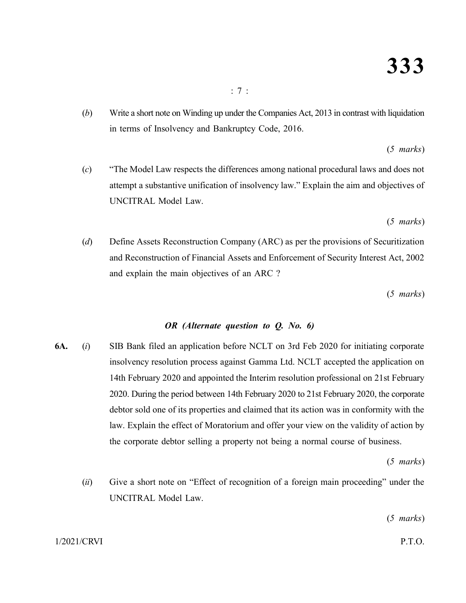(*b*) Write a short note on Winding up under the Companies Act, 2013 in contrast with liquidation in terms of Insolvency and Bankruptcy Code, 2016.

(*5 marks*)

(*c*) "The Model Law respects the differences among national procedural laws and does not attempt a substantive unification of insolvency law." Explain the aim and objectives of UNCITRAL Model Law.

(*5 marks*)

(*d*) Define Assets Reconstruction Company (ARC) as per the provisions of Securitization and Reconstruction of Financial Assets and Enforcement of Security Interest Act, 2002 and explain the main objectives of an ARC ?

(*5 marks*)

# *OR (Alternate question to Q. No. 6)*

**6A.** (*i*) SIB Bank filed an application before NCLT on 3rd Feb 2020 for initiating corporate insolvency resolution process against Gamma Ltd. NCLT accepted the application on 14th February 2020 and appointed the Interim resolution professional on 21st February 2020. During the period between 14th February 2020 to 21st February 2020, the corporate debtor sold one of its properties and claimed that its action was in conformity with the law. Explain the effect of Moratorium and offer your view on the validity of action by the corporate debtor selling a property not being a normal course of business.

(*5 marks*)

(*ii*) Give a short note on "Effect of recognition of a foreign main proceeding" under the UNCITRAL Model Law.

(*5 marks*)

1/2021/CRVI P.T.O.